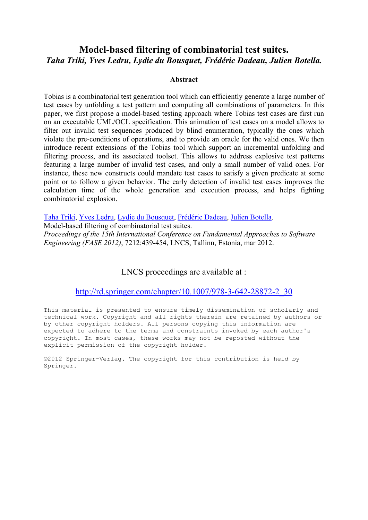# **Model-based filtering of combinatorial test suites.**  *Taha Triki, Yves Ledru, Lydie du Bousquet, Frédéric Dadeau, Julien Botella.*

# **Abstract**

Tobias is a combinatorial test generation tool which can efficiently generate a large number of test cases by unfolding a test pattern and computing all combinations of parameters. In this paper, we first propose a model-based testing approach where Tobias test cases are first run on an executable UML/OCL specification. This animation of test cases on a model allows to filter out invalid test sequences produced by blind enumeration, typically the ones which violate the pre-conditions of operations, and to provide an oracle for the valid ones. We then introduce recent extensions of the Tobias tool which support an incremental unfolding and filtering process, and its associated toolset. This allows to address explosive test patterns featuring a large number of invalid test cases, and only a small number of valid ones. For instance, these new constructs could mandate test cases to satisfy a given predicate at some point or to follow a given behavior. The early detection of invalid test cases improves the calculation time of the whole generation and execution process, and helps fighting combinatorial explosion.

Taha Triki, Yves Ledru, Lydie du Bousquet, Frédéric Dadeau, Julien Botella.

Model-based filtering of combinatorial test suites. *Proceedings of the 15th International Conference on Fundamental Approaches to Software Engineering (FASE 2012)*, 7212:439-454, LNCS, Tallinn, Estonia, mar 2012.

LNCS proceedings are available at :

http://rd.springer.com/chapter/10.1007/978-3-642-28872-2\_30

This material is presented to ensure timely dissemination of scholarly and technical work. Copyright and all rights therein are retained by authors or by other copyright holders. All persons copying this information are expected to adhere to the terms and constraints invoked by each author's copyright. In most cases, these works may not be reposted without the explicit permission of the copyright holder.

©2012 Springer-Verlag. The copyright for this contribution is held by Springer.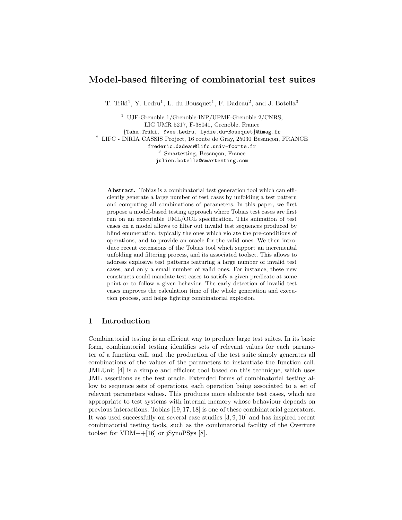# Model-based filtering of combinatorial test suites

T. Triki<sup>1</sup>, Y. Ledru<sup>1</sup>, L. du Bousquet<sup>1</sup>, F. Dadeau<sup>2</sup>, and J. Botella<sup>3</sup>

 $^1$  UJF-Grenoble 1/Grenoble-INP/UPMF-Grenoble 2/CNRS, LIG UMR 5217, F-38041, Grenoble, France {Taha.Triki, Yves.Ledru, Lydie.du-Bousquet}@imag.fr  $2$  LIFC - INRIA CASSIS Project, 16 route de Gray, 25030 Besançon, FRANCE frederic.dadeau@lifc.univ-fcomte.fr <sup>3</sup> Smartesting, Besançon, France julien.botella@smartesting.com

Abstract. Tobias is a combinatorial test generation tool which can efficiently generate a large number of test cases by unfolding a test pattern and computing all combinations of parameters. In this paper, we first propose a model-based testing approach where Tobias test cases are first run on an executable UML/OCL specification. This animation of test cases on a model allows to filter out invalid test sequences produced by blind enumeration, typically the ones which violate the pre-conditions of operations, and to provide an oracle for the valid ones. We then introduce recent extensions of the Tobias tool which support an incremental unfolding and filtering process, and its associated toolset. This allows to address explosive test patterns featuring a large number of invalid test cases, and only a small number of valid ones. For instance, these new constructs could mandate test cases to satisfy a given predicate at some point or to follow a given behavior. The early detection of invalid test cases improves the calculation time of the whole generation and execution process, and helps fighting combinatorial explosion.

# 1 Introduction

Combinatorial testing is an efficient way to produce large test suites. In its basic form, combinatorial testing identifies sets of relevant values for each parameter of a function call, and the production of the test suite simply generates all combinations of the values of the parameters to instantiate the function call. JMLUnit [4] is a simple and efficient tool based on this technique, which uses JML assertions as the test oracle. Extended forms of combinatorial testing allow to sequence sets of operations, each operation being associated to a set of relevant parameters values. This produces more elaborate test cases, which are appropriate to test systems with internal memory whose behaviour depends on previous interactions. Tobias [19, 17, 18] is one of these combinatorial generators. It was used successfully on several case studies [3, 9, 10] and has inspired recent combinatorial testing tools, such as the combinatorial facility of the Overture toolset for  $VDM++[16]$  or jSynoPSys [8].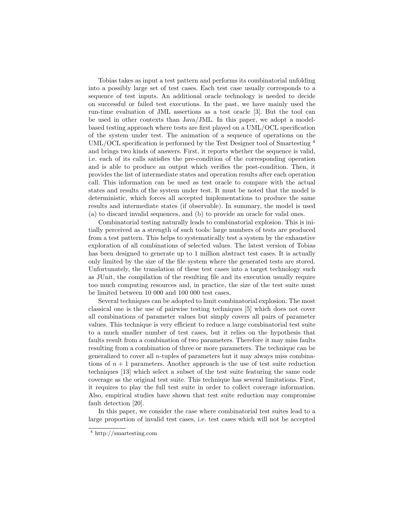Tobias takes as input a test pattern and performs its combinatorial unfolding into a possibly large set of test cases. Each test case usually corresponds to a sequence of test inputs. An additional oracle technology is needed to decide on successful or failed test executions. In the past, we have mainly used the run-time evaluation of JML assertions as a test oracle [3]. But the tool can be used in other contexts than Java/JML. In this paper, we adopt a modelbased testing approach where tests are first played on a UML/OCL specification of the system under test. The animation of a sequence of operations on the UML/OCL specification is performed by the Test Designer tool of Smartesting <sup>4</sup> and brings two kinds of answers. First, it reports whether the sequence is valid, i.e. each of its calls satisfies the pre-condition of the corresponding operation and is able to produce an output which verifies the post-condition. Then, it provides the list of intermediate states and operation results after each operation call. This information can be used as test oracle to compare with the actual states and results of the system under test. It must be noted that the model is deterministic, which forces all accepted implementations to produce the same results and intermediate states (if observable). In summary, the model is used (a) to discard invalid sequences, and (b) to provide an oracle for valid ones.

Combinatorial testing naturally leads to combinatorial explosion. This is initially perceived as a strength of such tools: large numbers of tests are produced from a test pattern. This helps to systematically test a system by the exhaustive exploration of all combinations of selected values. The latest version of Tobias has been designed to generate up to 1 million abstract test cases. It is actually only limited by the size of the file system where the generated tests are stored. Unfortunately, the translation of these test cases into a target technology such as JUnit, the compilation of the resulting file and its execution usually require too much computing resources and, in practice, the size of the test suite must be limited between 10 000 and 100 000 test cases.

Several techniques can be adopted to limit combinatorial explosion. The most classical one is the use of pairwise testing techniques [5] which does not cover all combinations of parameter values but simply covers all pairs of parameter values. This technique is very efficient to reduce a large combinatorial test suite to a much smaller number of test cases, but it relies on the hypothesis that faults result from a combination of two parameters. Therefore it may miss faults resulting from a combination of three or more parameters. The technique can be generalized to cover all  $n$ -tuples of parameters but it may always miss combinations of  $n + 1$  parameters. Another approach is the use of test suite reduction techniques [13] which select a subset of the test suite featuring the same code coverage as the original test suite. This technique has several limitations. First, it requires to play the full test suite in order to collect coverage information. Also, empirical studies have shown that test suite reduction may compromise fault detection [20].

In this paper, we consider the case where combinatorial test suites lead to a large proportion of invalid test cases, i.e. test cases which will not be accepted

<sup>4</sup> http://smartesting.com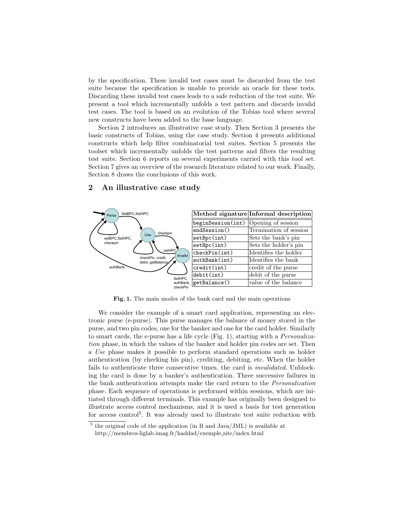by the specification. These invalid test cases must be discarded from the test suite because the specification is unable to provide an oracle for these tests. Discarding these invalid test cases leads to a safe reduction of the test suite. We present a tool which incrementally unfolds a test pattern and discards invalid test cases. The tool is based on an evolution of the Tobias tool where several new constructs have been added to the base language.

Section 2 introduces an illustrative case study. Then Section 3 presents the basic constructs of Tobias, using the case study. Section 4 presents additional constructs which help filter combinatorial test suites. Section 5 presents the toolset which incrementally unfolds the test patterns and filters the resulting test suite. Section 6 reports on several experiments carried with this tool set. Section 7 gives an overview of the research literature related to our work. Finally, Section 8 draws the conclusions of this work.

#### Perso Use Invalid SetBPC,SetHPC setBPC, SetHPC checkpin checkPin, credit, debit, getBalan SetHPC, authBank, checkPin checkpin authBan setHPC Method signature Informal description beginSession(int) Opening of session endSession() Termination of session setBpc(int) Sets the bank's pin setHpc(int) Sets the holder's pin checkPin(int) Identifies the holder authBank(int) Identifies the bank credit(int) credit of the purse  $\text{debit(int)}$   $\text{debit of the pursue}$ getBalance() value of the balance

#### 2 An illustrative case study

Fig. 1. The main modes of the bank card and the main operations

We consider the example of a smart card application, representing an electronic purse (e-purse). This purse manages the balance of money stored in the purse, and two pin codes, one for the banker and one for the card holder. Similarly to smart cards, the e-purse has a life cycle (Fig. 1), starting with a Personalization phase, in which the values of the banker and holder pin codes are set. Then a Use phase makes it possible to perform standard operations such as holder authentication (by checking his pin), crediting, debiting, etc. When the holder fails to authenticate three consecutive times, the card is invalidated. Unblocking the card is done by a banker's authentication. Three successive failures in the bank authentication attempts make the card return to the Personalization phase. Each sequence of operations is performed within sessions, which are initiated through different terminals. This example has originally been designed to illustrate access control mechanisms, and it is used a basis for test generation for access control<sup>5</sup>. It was already used to illustrate test suite reduction with

<sup>&</sup>lt;sup>5</sup> the original code of the application (in B and Java/JML) is available at

http://membres-liglab.imag.fr/haddad/exemple site/index.html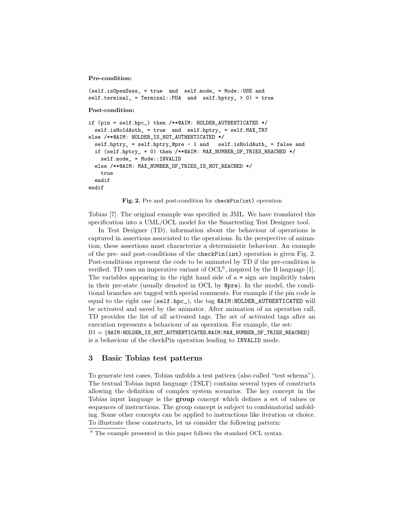#### Pre-condition:

```
(self.isOpenSess_ = true and self.mode_ = Mode::USE and
self.terminal_ = Terminal::PDA and self.hptry_ > 0) = true
Post-condition:
if (pin = self.hpc_) then /**@AIM: HOLDER_AUTHENTICATED */
 self.isHoldAuth_ = true and self.hptry_ = self.MAX_TRY
else /**@AIM: HOLDER_IS_NOT_AUTHENTICATED */
 self.hptry_ = self.hptry_@pre - 1 and self.isHoldAuth_ = false and
  if (self.hptry_ = 0) then /**@AIM: MAX_NUMBER_OF_TRIES_REACHED */
   self.mode_ = Mode::INVALID
  else /**@AIM: MAX_NUMBER_OF_TRIES_IS_NOT_REACHED */
   true
  endif
endif
```
#### Fig. 2. Pre and post-condition for checkPin(int) operation

Tobias [7]. The original example was specified in JML. We have translated this specification into a UML/OCL model for the Smartesting Test Designer tool.

In Test Designer (TD), information about the behaviour of operations is captured in assertions associated to the operations. In the perspective of animation, these assertions must characterize a deterministic behaviour. An example of the pre- and post-conditions of the checkPin(int) operation is given Fig. 2. Post-conditions represent the code to be animated by TD if the pre-condition is verified. TD uses an imperative variant of  $OCL<sup>6</sup>$ , inspired by the B language [1]. The variables appearing in the right hand side of a = sign are implicitly taken in their pre-state (usually denoted in OCL by @pre). In the model, the conditional branches are tagged with special comments. For example if the pin code is equal to the right one (self.hpc\_), the tag @AIM:HOLDER\_AUTHENTICATED will be activated and saved by the animator. After animation of an operation call, TD provides the list of all activated tags. The set of activated tags after an execution represents a behaviour of an operation. For example, the set:  $B1 = \{0$ AIM:HOLDER\_IS\_NOT\_AUTHENTICATED, @AIM:MAX\_NUMBER\_OF\_TRIES\_REACHED} is a behaviour of the checkPin operation leading to INVALID mode.

#### 3 Basic Tobias test patterns

To generate test cases, Tobias unfolds a test pattern (also called "test schema"). The textual Tobias input language (TSLT) contains several types of constructs allowing the definition of complex system scenarios. The key concept in the Tobias input language is the group concept which defines a set of values or sequences of instructions. The group concept is subject to combinatorial unfolding. Some other concepts can be applied to instructions like iteration or choice. To illustrate these constructs, let us consider the following pattern:

<sup>6</sup> The example presented in this paper follows the standard OCL syntax.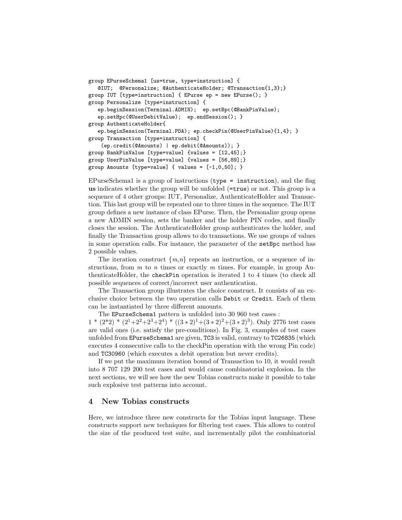```
group EPurseSchema1 [us=true, type=instruction] {
   @IUT; @Personalize; @AuthenticateHolder; @Transaction{1,3};}
group IUT [type=instruction] { EPurse ep = new EPurse(); }
group Personalize [type=instruction] {
   ep.beginSession(Terminal.ADMIN); ep.setBpc(@BankPinValue);
   ep.setHpc(@UserDebitValue); ep.endSession(); }
group AuthenticateHolder{
   ep.beginSession(Terminal.PDA); ep.checkPin(@UserPinValue){1,4}; }
group Transaction [type=instruction] {
    (ep.credit(@Amounts) | ep.debit(@Amounts)); }
group BankPinValue [type=value] {values = [12,45];}
group UserPinValue [type=value] {values = [56,89];}
group Amounts [type=value] \{ values = [-1,0,50]; \}
```
EPurseSchema1 is a group of instructions (type = instruction), and the flag us indicates whether the group will be unfolded (=true) or not. This group is a sequence of 4 other groups: IUT, Personalize, AuthenticateHolder and Transaction. This last group will be repeated one to three times in the sequence. The IUT group defines a new instance of class EPurse. Then, the Personalize group opens a new ADMIN session, sets the banker and the holder PIN codes, and finally closes the session. The AuthenticateHolder group authenticates the holder, and finally the Transaction group allows to do transactions. We use groups of values in some operation calls. For instance, the parameter of the setBpc method has 2 possible values.

The iteration construct  $\{m,n\}$  repeats an instruction, or a sequence of instructions, from  $m$  to  $n$  times or exactly  $m$  times. For example, in group AuthenticateHolder, the checkPin operation is iterated 1 to 4 times (to check all possible sequences of correct/incorrect user authentication.

The Transaction group illustrates the choice construct. It consists of an exclusive choice between the two operation calls Debit or Credit. Each of them can be instantiated by three different amounts.

The EPurseSchema1 pattern is unfolded into 30 960 test cases :

 $1 * (2^2)^* (2^1 + 2^2 + 2^3 + 2^4) * ((3 * 2)^1 + (3 * 2)^2 + (3 * 2)^3)$ . Only 2776 test cases are valid ones (i.e. satisfy the pre-conditions). In Fig. 3, examples of test cases unfolded from EPurseSchema1 are given, TC3 is valid, contrary to TC26835 (which executes 4 consecutive calls to the checkPin operation with the wrong Pin code) and TC30960 (which executes a debit operation but never credits).

If we put the maximum iteration bound of Transaction to 10, it would result into 8 707 129 200 test cases and would cause combinatorial explosion. In the next sections, we will see how the new Tobias constructs make it possible to take such explosive test patterns into account.

# 4 New Tobias constructs

Here, we introduce three new constructs for the Tobias input language. These constructs support new techniques for filtering test cases. This allows to control the size of the produced test suite, and incrementally pilot the combinatorial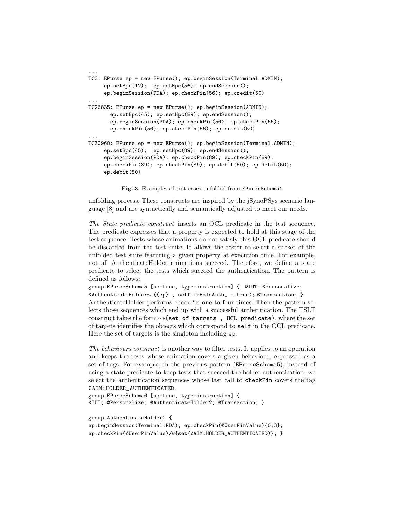```
...
TC3: EPurse ep = new EPurse(); ep.beginSession(Terminal.ADMIN);
     ep.setBpc(12); ep.setHpc(56); ep.endSession();
     ep.beginSession(PDA); ep.checkPin(56); ep.credit(50)
...
TC26835: EPurse ep = new EPurse(); ep.beginSession(ADMIN);
       ep.setBpc(45); ep.setHpc(89); ep.endSession();
       ep.beginSession(PDA); ep.checkPin(56); ep.checkPin(56);
       ep.checkPin(56); ep.checkPin(56); ep.credit(50)
...
TC30960: EPurse ep = new EPurse(); ep.beginSession(Terminal.ADMIN);
     ep.setBpc(45); ep.setHpc(89); ep.endSession();
     ep.beginSession(PDA); ep.checkPin(89); ep.checkPin(89);
     ep.checkPin(89); ep.checkPin(89); ep.debit(50); ep.debit(50);
     ep.debit(50)
```
Fig. 3. Examples of test cases unfolded from EPurseSchema1

unfolding process. These constructs are inspired by the jSynoPSys scenario language [8] and are syntactically and semantically adjusted to meet our needs.

The State predicate construct inserts an OCL predicate in the test sequence. The predicate expresses that a property is expected to hold at this stage of the test sequence. Tests whose animations do not satisfy this OCL predicate should be discarded from the test suite. It allows the tester to select a subset of the unfolded test suite featuring a given property at execution time. For example, not all AuthenticateHolder animations succeed. Therefore, we define a state predicate to select the tests which succeed the authentication. The pattern is defined as follows:

group EPurseSchema5 [us=true, type=instruction] { @IUT; @Personalize;  $\texttt{QAuthor} \rightarrow (\{ep\}$ , self.isHoldAuth\_ = true);  $\texttt{QTransaction}$ ; } AuthenticateHolder performs checkPin one to four times. Then the pattern selects those sequences which end up with a successful authentication. The TSLT construct takes the form  $\rightsquigarrow$  (set of targets, OCL predicate), where the set of targets identifies the objects which correspond to self in the OCL predicate. Here the set of targets is the singleton including ep.

The behaviours construct is another way to filter tests. It applies to an operation and keeps the tests whose animation covers a given behaviour, expressed as a set of tags. For example, in the previous pattern (EPurseSchema5), instead of using a state predicate to keep tests that succeed the holder authentication, we select the authentication sequences whose last call to checkPin covers the tag @AIM:HOLDER\_AUTHENTICATED.

```
group EPurseSchema6 [us=true, type=instruction] {
@IUT; @Personalize; @AuthenticateHolder2; @Transaction; }
group AuthenticateHolder2 {
ep.beginSession(Terminal.PDA); ep.checkPin(@UserPinValue){0,3};
ep.checkPin(@UserPinValue)/w{set(@AIM:HOLDER_AUTHENTICATED)}; }
```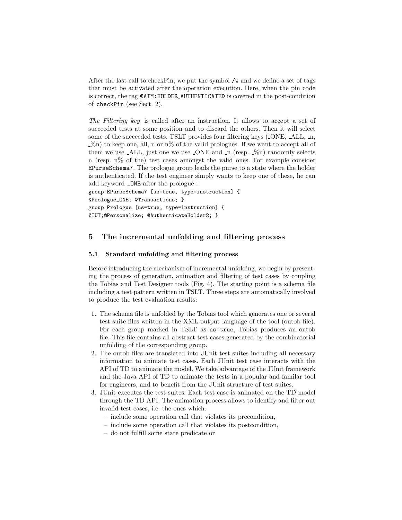After the last call to checkPin, we put the symbol /w and we define a set of tags that must be activated after the operation execution. Here, when the pin code is correct, the tag @AIM:HOLDER AUTHENTICATED is covered in the post-condition of checkPin (see Sect. 2).

The Filtering key is called after an instruction. It allows to accept a set of succeeded tests at some position and to discard the others. Then it will select some of the succeeded tests. TSLT provides four filtering keys  $($  ONE,  $_\text{ALL, n}$ ,  $\mathcal{M}_n$ ) to keep one, all, n or n% of the valid prologues. If we want to accept all of them we use  $\Delta$ LL, just one we use  $\Delta$ ONE and  $\Delta$ n (resp.  $\Im$ ) randomly selects n (resp. n% of the) test cases amongst the valid ones. For example consider EPurseSchema7. The prologue group leads the purse to a state where the holder is authenticated. If the test engineer simply wants to keep one of these, he can add keyword \_ONE after the prologue :

group EPurseSchema7 [us=true, type=instruction] { @Prologue\_ONE; @Transactions; } group Prologue [us=true, type=instruction] { @IUT;@Personalize; @AuthenticateHolder2; }

#### 5 The incremental unfolding and filtering process

#### 5.1 Standard unfolding and filtering process

Before introducing the mechanism of incremental unfolding, we begin by presenting the process of generation, animation and filtering of test cases by coupling the Tobias and Test Designer tools (Fig. 4). The starting point is a schema file including a test pattern written in TSLT. Three steps are automatically involved to produce the test evaluation results:

- 1. The schema file is unfolded by the Tobias tool which generates one or several test suite files written in the XML output language of the tool (outob file). For each group marked in TSLT as us=true, Tobias produces an outob file. This file contains all abstract test cases generated by the combinatorial unfolding of the corresponding group.
- 2. The outob files are translated into JUnit test suites including all necessary information to animate test cases. Each JUnit test case interacts with the API of TD to animate the model. We take advantage of the JUnit framework and the Java API of TD to animate the tests in a popular and familar tool for engineers, and to benefit from the JUnit structure of test suites.
- 3. JUnit executes the test suites. Each test case is animated on the TD model through the TD API. The animation process allows to identify and filter out invalid test cases, i.e. the ones which:
	- include some operation call that violates its precondition,
	- include some operation call that violates its postcondition,
	- do not fulfill some state predicate or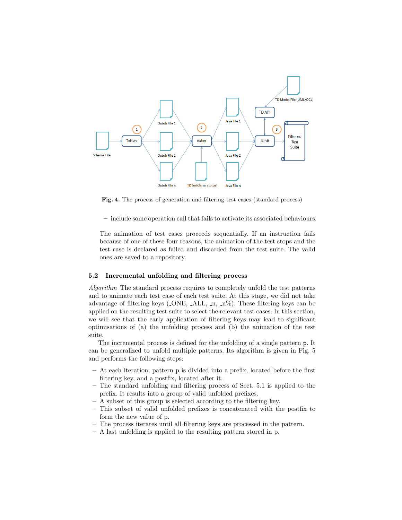

Fig. 4. The process of generation and filtering test cases (standard process)

– include some operation call that fails to activate its associated behaviours.

The animation of test cases proceeds sequentially. If an instruction fails because of one of these four reasons, the animation of the test stops and the test case is declared as failed and discarded from the test suite. The valid ones are saved to a repository.

#### 5.2 Incremental unfolding and filtering process

Algorithm The standard process requires to completely unfold the test patterns and to animate each test case of each test suite. At this stage, we did not take advantage of filtering keys ( $\text{ONE}$ ,  $\text{ALL}$ ,  $\text{m}$ ,  $\text{m}\%$ ). These filtering keys can be applied on the resulting test suite to select the relevant test cases. In this section, we will see that the early application of filtering keys may lead to significant optimisations of (a) the unfolding process and (b) the animation of the test suite.

The incremental process is defined for the unfolding of a single pattern p. It can be generalized to unfold multiple patterns. Its algorithm is given in Fig. 5 and performs the following steps:

- At each iteration, pattern p is divided into a prefix, located before the first filtering key, and a postfix, located after it.
- The standard unfolding and filtering process of Sect. 5.1 is applied to the prefix. It results into a group of valid unfolded prefixes.
- A subset of this group is selected according to the filtering key.
- This subset of valid unfolded prefixes is concatenated with the postfix to form the new value of p.
- The process iterates until all filtering keys are processed in the pattern.
- A last unfolding is applied to the resulting pattern stored in p.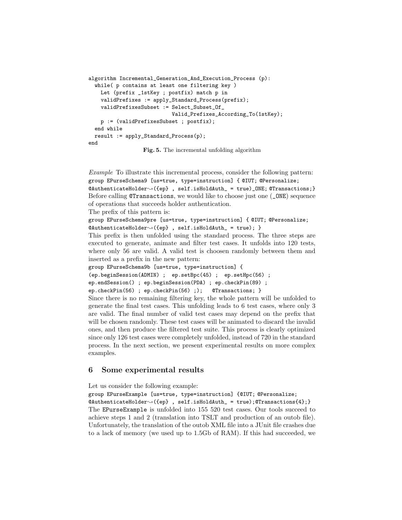```
algorithm Incremental_Generation_And_Execution_Process (p):
 while( p contains at least one filtering key )
    Let (prefix _1stKey ; postfix) match p in
    validPrefixes := apply_Standard_Process(prefix);
    validPrefixesSubset := Select_Subset_Of_
                           Valid_Prefixes_According_To(1stKey);
    p := (validPrefixesSubset ; postfix);
 end while
 result := apply_Standard_Process(p);
end
```
Fig. 5. The incremental unfolding algorithm

Example To illustrate this incremental process, consider the following pattern: group EPurseSchema9 [us=true, type=instruction] { @IUT; @Personalize;  $\mathcal{Q}$ AuthenticateHolder $\rightsquigarrow$  ({ep}, self.isHoldAuth\_ = true)\_ONE;  $\mathcal{Q}$ Transactions;} Before calling @Transactions, we would like to choose just one (\_ONE) sequence

of operations that succeeds holder authentication.

The prefix of this pattern is:

group EPurseSchema9pre [us=true, type=instruction] { @IUT; @Personalize;  $\texttt{QAuthor}$  ({ep}, self.isHoldAuth\_ = true); }

This prefix is then unfolded using the standard process. The three steps are executed to generate, animate and filter test cases. It unfolds into 120 tests, where only 56 are valid. A valid test is choosen randomly between them and inserted as a prefix in the new pattern:

group EPurseSchema9b [us=true, type=instruction] {

(ep.beginSession(ADMIN) ; ep.setBpc(45) ; ep.setHpc(56) ; ep.endSession() ; ep.beginSession(PDA) ; ep.checkPin(89) ;

```
ep.checkPin(56) ; ep.checkPin(56) ;); @Transactions; }
```
Since there is no remaining filtering key, the whole pattern will be unfolded to generate the final test cases. This unfolding leads to 6 test cases, where only 3 are valid. The final number of valid test cases may depend on the prefix that will be chosen randomly. These test cases will be animated to discard the invalid ones, and then produce the filtered test suite. This process is clearly optimized since only 126 test cases were completely unfolded, instead of 720 in the standard process. In the next section, we present experimental results on more complex examples.

# 6 Some experimental results

Let us consider the following example:

group EPurseExample [us=true, type=instruction] {@IUT; @Personalize;  $@Author\rightarrow({ep}$ , self.isHoldAuth\_ = true); $@Transformation{4};$ The EPurseExample is unfolded into 155 520 test cases. Our tools succeed to achieve steps 1 and 2 (translation into TSLT and production of an outob file). Unfortunately, the translation of the outob XML file into a JUnit file crashes due to a lack of memory (we used up to 1.5Gb of RAM). If this had succeeded, we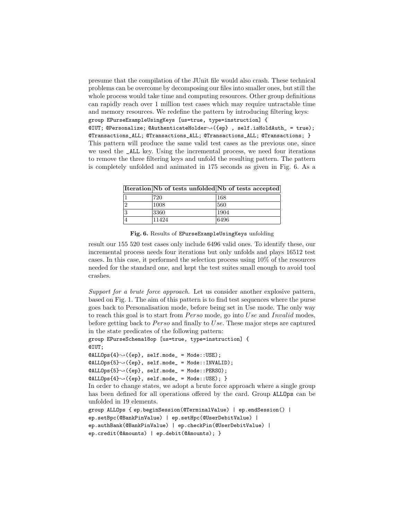presume that the compilation of the JUnit file would also crash. These technical problems can be overcome by decomposing our files into smaller ones, but still the whole process would take time and computing resources. Other group definitions can rapidly reach over 1 million test cases which may require untractable time and memory resources. We redefine the pattern by introducing filtering keys: group EPurseExampleUsingKeys [us=true, type=instruction] {

 $\texttt{QIUT}$ ;  $\texttt{QPersonalize}$ ;  $\texttt{QAuthori}$  at  $\texttt{Holder} \rightarrow \texttt{(ep}$  ,  $\texttt{self.isHoldAuthor}$  = true); @Transactions\_ALL; @Transactions\_ALL; @Transactions\_ALL; @Transactions; } This pattern will produce the same valid test cases as the previous one, since we used the \_ALL key. Using the incremental process, we need four iterations to remove the three filtering keys and unfold the resulting pattern. The pattern is completely unfolded and animated in 175 seconds as given in Fig. 6. As a

|       | Iteration Nb of tests unfolded Nb of tests accepted |
|-------|-----------------------------------------------------|
| 720   | 168                                                 |
| 1008  | 560                                                 |
| 3360  | 1904                                                |
| 11424 | 6496                                                |

Fig. 6. Results of EPurseExampleUsingKeys unfolding

result our 155 520 test cases only include 6496 valid ones. To identify these, our incremental process needs four iterations but only unfolds and plays 16512 test cases. In this case, it performed the selection process using 10% of the resources needed for the standard one, and kept the test suites small enough to avoid tool crashes.

Support for a brute force approach. Let us consider another explosive pattern, based on Fig. 1. The aim of this pattern is to find test sequences where the purse goes back to Personalisation mode, before being set in Use mode. The only way to reach this goal is to start from  $Personode$ , go into Use and Invalid modes, before getting back to  $Perso$  and finally to Use. These major steps are captured in the state predicates of the following pattern:

```
group EPurseSchema18op [us=true, type=instruction] {
@IUT;
@ALLOps{4}~\rightarrow ({ep}, self.mode_ = Mode::USE);
@ALLOps{5}~\rightarrow ({ep}, self.mode_ = Mode::INVALID);
@ALLOps{5}~\rightarrow ({ep}, self.mode_ = Mode::PERSO);
@ALL0ps{4} \rightsquigarrow ({ep}, self.mode_ = Mode::USE); }
```
In order to change states, we adopt a brute force approach where a single group has been defined for all operations offered by the card. Group ALLOps can be unfolded in 19 elements.

```
group ALLOps { ep.beginSession(@TerminalValue) | ep.endSession() |
ep.setBpc(@BankPinValue) | ep.setHpc(@UserDebitValue) |
ep.authBank(@BankPinValue) | ep.checkPin(@UserDebitValue) |
ep.credit(@Amounts) | ep.debit(@Amounts); }
```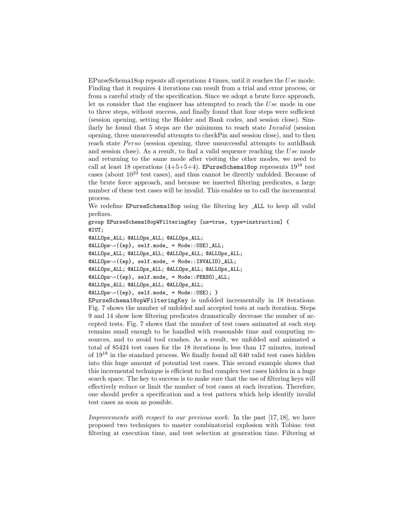EPurseSchema18op repeats all operations 4 times, until it reaches the Use mode. Finding that it requires 4 iterations can result from a trial and error process, or from a careful study of the specification. Since we adopt a brute force approach, let us consider that the engineer has attempted to reach the Use mode in one to three steps, without success, and finally found that four steps were sufficient (session opening, setting the Holder and Bank codes, and session close). Similarly he found that 5 steps are the minimum to reach state  $Invalid$  (session opening, three unsuccessful attempts to checkPin and session close), and to then reach state *Perso* (session opening, three unsuccessful attempts to authBank and session close). As a result, to find a valid sequence reaching the Use mode and returning to the same mode after visiting the other modes, we need to call at least 18 operations  $(4+5+5+4)$ . EPurseSchema18op represents  $19^{18}$  test cases (about  $10^{23}$  test cases), and thus cannot be directly unfolded. Because of the brute force approach, and because we inserted filtering predicates, a large number of these test cases will be invalid. This enables us to call the incremental process.

We redefine EPurseSchema18op using the filtering key ALL to keep all valid prefixes.

group EPurseSchema18opWFilteringKey [us=true, type=instruction] { @IUT;

@ALLOps\_ALL; @ALLOps\_ALL; @ALLOps\_ALL;

 $@ALL0ps \rightarrow ({ep}, self-mode = Mode::USE) _ALL;$ 

@ALLOps\_ALL; @ALLOps\_ALL; @ALLOps\_ALL; @ALLOps\_ALL;

 $@ALLOps\rightarrow({ep}, self-mode = Mode::INVALID)_ALL;$ 

@ALLOps\_ALL; @ALLOps\_ALL; @ALLOps\_ALL; @ALLOps\_ALL;

 $@ALL0ps \rightarrow (^{ep}, self mode = Mode::PERSO)_ALL;$ 

@ALLOps\_ALL; @ALLOps\_ALL; @ALLOps\_ALL;

 $@ALL0ps \rightarrow ({ep}, self-mode = Mode::USE);$ 

EPurseSchema18opWFilteringKey is unfolded incrementally in 18 iterations. Fig. 7 shows the number of unfolded and accepted tests at each iteration. Steps 9 and 14 show how filtering predicates dramatically decrease the number of accepted tests. Fig. 7 shows that the number of test cases animated at each step remains small enough to be handled with reasonable time and computing resources, and to avoid tool crashes. As a result, we unfolded and animated a total of 85424 test cases for the 18 iterations in less than 17 minutes, instead of  $19^{18}$  in the standard process. We finally found all 640 valid test cases hidden into this huge amount of potential test cases. This second example shows that this incremental technique is efficient to find complex test cases hidden in a huge search space. The key to success is to make sure that the use of filtering keys will effectively reduce or limit the number of test cases at each iteration. Therefore, one should prefer a specification and a test pattern which help identify invalid test cases as soon as possible.

Improvements with respect to our previous work. In the past [17, 18], we have proposed two techniques to master combinatorial explosion with Tobias: test filtering at execution time, and test selection at generation time. Filtering at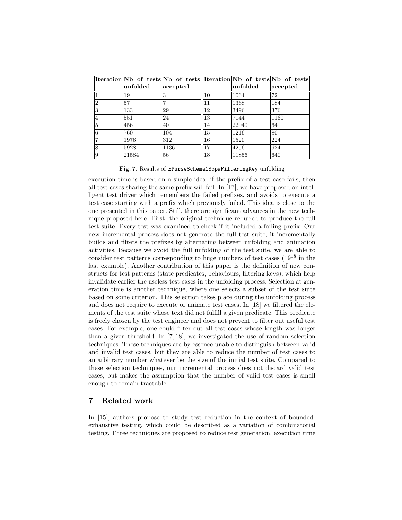|         |          | Iteration Nb of tests Nb of tests Iteration Nb of tests Nb of tests |    |          |          |
|---------|----------|---------------------------------------------------------------------|----|----------|----------|
|         | unfolded | accepted                                                            |    | unfolded | accepted |
|         | 19       | 3                                                                   | 10 | 1064     | 72       |
| $ 2 \>$ | 57       |                                                                     | 11 | 1368     | 184      |
| 3       | 133      | 29                                                                  | 12 | 3496     | 376      |
|         | 551      | 24                                                                  | 13 | 7144     | 1160     |
| 5       | 456      | 40                                                                  | 14 | 22040    | 64       |
| 6       | 760      | 104                                                                 | 15 | 1216     | 80       |
|         | 1976     | 312                                                                 | 16 | 1520     | 224      |
| 8       | 5928     | 1136                                                                | 17 | 4256     | 624      |
| 9       | 21584    | 56                                                                  | 18 | 11856    | 640      |

Fig. 7. Results of EPurseSchema18opWFilteringKey unfolding

execution time is based on a simple idea: if the prefix of a test case fails, then all test cases sharing the same prefix will fail. In [17], we have proposed an intelligent test driver which remembers the failed prefixes, and avoids to execute a test case starting with a prefix which previously failed. This idea is close to the one presented in this paper. Still, there are significant advances in the new technique proposed here. First, the original technique required to produce the full test suite. Every test was examined to check if it included a failing prefix. Our new incremental process does not generate the full test suite, it incrementally builds and filters the prefixes by alternating between unfolding and animation activities. Because we avoid the full unfolding of the test suite, we are able to consider test patterns corresponding to huge numbers of test cases  $(19^{18}$  in the last example). Another contribution of this paper is the definition of new constructs for test patterns (state predicates, behaviours, filtering keys), which help invalidate earlier the useless test cases in the unfolding process. Selection at generation time is another technique, where one selects a subset of the test suite based on some criterion. This selection takes place during the unfolding process and does not require to execute or animate test cases. In [18] we filtered the elements of the test suite whose text did not fulfill a given predicate. This predicate is freely chosen by the test engineer and does not prevent to filter out useful test cases. For example, one could filter out all test cases whose length was longer than a given threshold. In [7, 18], we investigated the use of random selection techniques. These techniques are by essence unable to distinguish between valid and invalid test cases, but they are able to reduce the number of test cases to an arbitrary number whatever be the size of the initial test suite. Compared to these selection techniques, our incremental process does not discard valid test cases, but makes the assumption that the number of valid test cases is small enough to remain tractable.

# 7 Related work

In [15], authors propose to study test reduction in the context of boundedexhaustive testing, which could be described as a variation of combinatorial testing. Three techniques are proposed to reduce test generation, execution time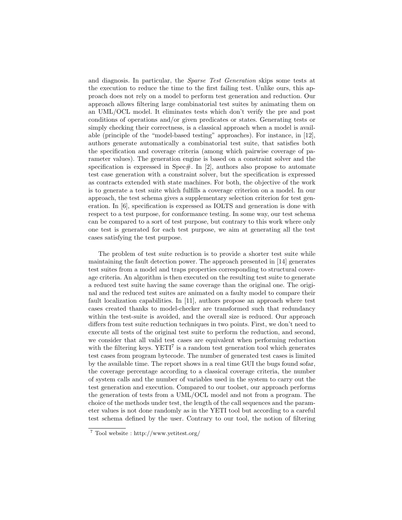and diagnosis. In particular, the Sparse Test Generation skips some tests at the execution to reduce the time to the first failing test. Unlike ours, this approach does not rely on a model to perform test generation and reduction. Our approach allows filtering large combinatorial test suites by animating them on an UML/OCL model. It eliminates tests which don't verify the pre and post conditions of operations and/or given predicates or states. Generating tests or simply checking their correctness, is a classical approach when a model is available (principle of the "model-based testing" approaches). For instance, in [12], authors generate automatically a combinatorial test suite, that satisfies both the specification and coverage criteria (among which pairwise coverage of parameter values). The generation engine is based on a constraint solver and the specification is expressed in Spec#. In  $[2]$ , authors also propose to automate test case generation with a constraint solver, but the specification is expressed as contracts extended with state machines. For both, the objective of the work is to generate a test suite which fulfills a coverage criterion on a model. In our approach, the test schema gives a supplementary selection criterion for test generation. In [6], specification is expressed as IOLTS and generation is done with respect to a test purpose, for conformance testing. In some way, our test schema can be compared to a sort of test purpose, but contrary to this work where only one test is generated for each test purpose, we aim at generating all the test cases satisfying the test purpose.

The problem of test suite reduction is to provide a shorter test suite while maintaining the fault detection power. The approach presented in [14] generates test suites from a model and traps properties corresponding to structural coverage criteria. An algorithm is then executed on the resulting test suite to generate a reduced test suite having the same coverage than the original one. The original and the reduced test suites are animated on a faulty model to compare their fault localization capabilities. In [11], authors propose an approach where test cases created thanks to model-checker are transformed such that redundancy within the test-suite is avoided, and the overall size is reduced. Our approach differs from test suite reduction techniques in two points. First, we don't need to execute all tests of the original test suite to perform the reduction, and second, we consider that all valid test cases are equivalent when performing reduction with the filtering keys. YETI<sup>7</sup> is a random test generation tool which generates test cases from program bytecode. The number of generated test cases is limited by the available time. The report shows in a real time GUI the bugs found sofar, the coverage percentage according to a classical coverage criteria, the number of system calls and the number of variables used in the system to carry out the test generation and execution. Compared to our toolset, our approach performs the generation of tests from a UML/OCL model and not from a program. The choice of the methods under test, the length of the call sequences and the parameter values is not done randomly as in the YETI tool but according to a careful test schema defined by the user. Contrary to our tool, the notion of filtering

<sup>7</sup> Tool website : http://www.yetitest.org/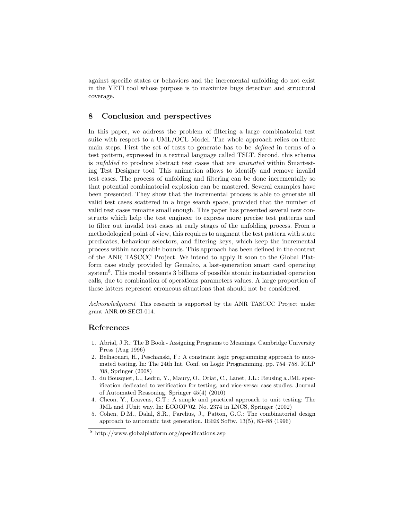against specific states or behaviors and the incremental unfolding do not exist in the YETI tool whose purpose is to maximize bugs detection and structural coverage.

# 8 Conclusion and perspectives

In this paper, we address the problem of filtering a large combinatorial test suite with respect to a UML/OCL Model. The whole approach relies on three main steps. First the set of tests to generate has to be defined in terms of a test pattern, expressed in a textual language called TSLT. Second, this schema is unfolded to produce abstract test cases that are animated within Smartesting Test Designer tool. This animation allows to identify and remove invalid test cases. The process of unfolding and filtering can be done incrementally so that potential combinatorial explosion can be mastered. Several examples have been presented. They show that the incremental process is able to generate all valid test cases scattered in a huge search space, provided that the number of valid test cases remains small enough. This paper has presented several new constructs which help the test engineer to express more precise test patterns and to filter out invalid test cases at early stages of the unfolding process. From a methodological point of view, this requires to augment the test pattern with state predicates, behaviour selectors, and filtering keys, which keep the incremental process within acceptable bounds. This approach has been defined in the context of the ANR TASCCC Project. We intend to apply it soon to the Global Platform case study provided by Gemalto, a last-generation smart card operating system<sup>8</sup>. This model presents 3 billions of possible atomic instantiated operation calls, due to combination of operations parameters values. A large proportion of these latters represent erroneous situations that should not be considered.

Acknowledgment This research is supported by the ANR TASCCC Project under grant ANR-09-SEGI-014.

#### References

- 1. Abrial, J.R.: The B Book Assigning Programs to Meanings. Cambridge University Press (Aug 1996)
- 2. Belhaouari, H., Peschanski, F.: A constraint logic programming approach to automated testing. In: The 24th Int. Conf. on Logic Programming. pp. 754–758. ICLP '08, Springer (2008)
- 3. du Bousquet, L., Ledru, Y., Maury, O., Oriat, C., Lanet, J.L.: Reusing a JML specification dedicated to verification for testing, and vice-versa: case studies. Journal of Automated Reasoning, Springer 45(4) (2010)
- 4. Cheon, Y., Leavens, G.T.: A simple and practical approach to unit testing: The JML and JUnit way. In: ECOOP'02. No. 2374 in LNCS, Springer (2002)
- 5. Cohen, D.M., Dalal, S.R., Parelius, J., Patton, G.C.: The combinatorial design approach to automatic test generation. IEEE Softw. 13(5), 83–88 (1996)

<sup>8</sup> http://www.globalplatform.org/specifications.asp